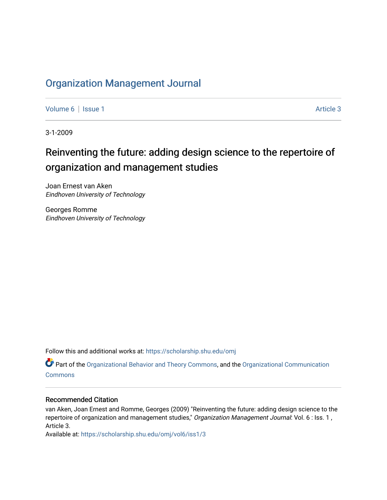### [Organization Management Journal](https://scholarship.shu.edu/omj)

[Volume 6](https://scholarship.shu.edu/omj/vol6) | [Issue 1](https://scholarship.shu.edu/omj/vol6/iss1) Article 3

3-1-2009

## Reinventing the future: adding design science to the repertoire of organization and management studies

Joan Ernest van Aken Eindhoven University of Technology

Georges Romme Eindhoven University of Technology

Follow this and additional works at: [https://scholarship.shu.edu/omj](https://scholarship.shu.edu/omj?utm_source=scholarship.shu.edu%2Fomj%2Fvol6%2Fiss1%2F3&utm_medium=PDF&utm_campaign=PDFCoverPages) 

Part of the [Organizational Behavior and Theory Commons,](http://network.bepress.com/hgg/discipline/639?utm_source=scholarship.shu.edu%2Fomj%2Fvol6%2Fiss1%2F3&utm_medium=PDF&utm_campaign=PDFCoverPages) and the [Organizational Communication](http://network.bepress.com/hgg/discipline/335?utm_source=scholarship.shu.edu%2Fomj%2Fvol6%2Fiss1%2F3&utm_medium=PDF&utm_campaign=PDFCoverPages) **[Commons](http://network.bepress.com/hgg/discipline/335?utm_source=scholarship.shu.edu%2Fomj%2Fvol6%2Fiss1%2F3&utm_medium=PDF&utm_campaign=PDFCoverPages)** 

#### Recommended Citation

van Aken, Joan Ernest and Romme, Georges (2009) "Reinventing the future: adding design science to the repertoire of organization and management studies," Organization Management Journal: Vol. 6 : Iss. 1, Article 3.

Available at: [https://scholarship.shu.edu/omj/vol6/iss1/3](https://scholarship.shu.edu/omj/vol6/iss1/3?utm_source=scholarship.shu.edu%2Fomj%2Fvol6%2Fiss1%2F3&utm_medium=PDF&utm_campaign=PDFCoverPages)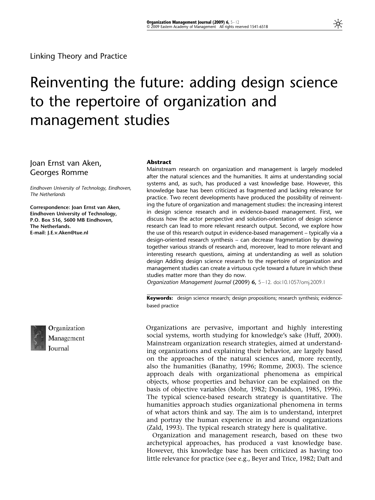Linking Theory and Practice

# Reinventing the future: adding design science to the repertoire of organization and management studies

Joan Ernst van Aken, Georges Romme

Eindhoven University of Technology, Eindhoven, The Netherlands

Correspondence: Joan Ernst van Aken, Eindhoven University of Technology, P.O. Box 516, 5600 MB Eindhoven, The Netherlands. E-mail: J.E.v.Aken@tue.nl

#### Abstract

Mainstream research on organization and management is largely modeled after the natural sciences and the humanities. It aims at understanding social systems and, as such, has produced a vast knowledge base. However, this knowledge base has been criticized as fragmented and lacking relevance for practice. Two recent developments have produced the possibility of reinventing the future of organization and management studies: the increasing interest in design science research and in evidence-based management. First, we discuss how the actor perspective and solution-orientation of design science research can lead to more relevant research output. Second, we explore how the use of this research output in evidence-based management – typically via a design-oriented research synthesis – can decrease fragmentation by drawing together various strands of research and, moreover, lead to more relevant and interesting research questions, aiming at understanding as well as solution design Adding design science research to the repertoire of organization and management studies can create a virtuous cycle toward a future in which these studies matter more than they do now.

Organization Management Journal (2009) 6, 5–12. doi:10.1057/omj.2009.1

Keywords: design science research; design propositions; research synthesis; evidencebased practice

Organizations are pervasive, important and highly interesting social systems, worth studying for knowledge's sake (Huff, 2000). Mainstream organization research strategies, aimed at understanding organizations and explaining their behavior, are largely based on the approaches of the natural sciences and, more recently, also the humanities (Banathy, 1996; Romme, 2003). The science approach deals with organizational phenomena as empirical objects, whose properties and behavior can be explained on the basis of objective variables (Mohr, 1982; Donaldson, 1985, 1996). The typical science-based research strategy is quantitative. The humanities approach studies organizational phenomena in terms of what actors think and say. The aim is to understand, interpret and portray the human experience in and around organizations (Zald, 1993). The typical research strategy here is qualitative.

Organization and management research, based on these two archetypical approaches, has produced a vast knowledge base. However, this knowledge base has been criticized as having too little relevance for practice (see e.g., Beyer and Trice, 1982; Daft and



Organization Management Journal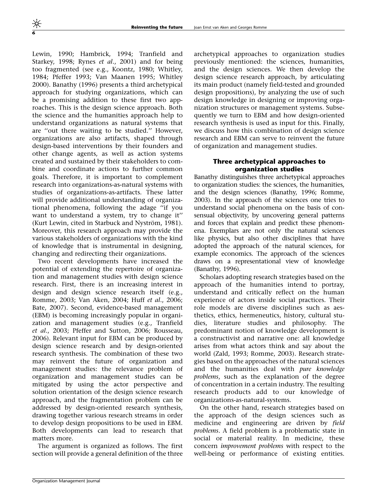Lewin, 1990; Hambrick, 1994; Tranfield and Starkey, 1998; Rynes et al., 2001) and for being too fragmented (see e.g., Koontz, 1980; Whitley, 1984; Pfeffer 1993; Van Maanen 1995; Whitley 2000). Banathy (1996) presents a third archetypical approach for studying organizations, which can be a promising addition to these first two approaches. This is the design science approach. Both the science and the humanities approach help to understand organizations as natural systems that are ''out there waiting to be studied.'' However, organizations are also artifacts, shaped through design-based interventions by their founders and other change agents, as well as action systems created and sustained by their stakeholders to combine and coordinate actions to further common goals. Therefore, it is important to complement research into organizations-as-natural systems with studies of organizations-as-artifacts. These latter will provide additional understanding of organizational phenomena, following the adage ''if you want to understand a system, try to change it'' (Kurt Lewin, cited in Starbuck and Nyström, 1981). Moreover, this research approach may provide the various stakeholders of organizations with the kind of knowledge that is instrumental in designing, changing and redirecting their organizations.

Two recent developments have increased the potential of extending the repertoire of organization and management studies with design science research. First, there is an increasing interest in design and design science research itself (e.g., Romme, 2003; Van Aken, 2004; Huff et al., 2006; Bate, 2007). Second, evidence-based management (EBM) is becoming increasingly popular in organization and management studies (e.g., Tranfield et al., 2003; Pfeffer and Sutton, 2006; Rousseau, 2006). Relevant input for EBM can be produced by design science research and by design-oriented research synthesis. The combination of these two may reinvent the future of organization and management studies: the relevance problem of organization and management studies can be mitigated by using the actor perspective and solution orientation of the design science research approach, and the fragmentation problem can be addressed by design-oriented research synthesis, drawing together various research streams in order to develop design propositions to be used in EBM. Both developments can lead to research that matters more.

The argument is organized as follows. The first section will provide a general definition of the three archetypical approaches to organization studies previously mentioned: the sciences, humanities, and the design sciences. We then develop the design science research approach, by articulating its main product (namely field-tested and grounded design propositions), by analyzing the use of such design knowledge in designing or improving organization structures or management systems. Subsequently we turn to EBM and how design-oriented research synthesis is used as input for this. Finally, we discuss how this combination of design science research and EBM can serve to reinvent the future of organization and management studies.

#### Three archetypical approaches to organization studies

Banathy distinguishes three archetypical approaches to organization studies: the sciences, the humanities, and the design sciences (Banathy, 1996; Romme, 2003). In the approach of the sciences one tries to understand social phenomena on the basis of consensual objectivity, by uncovering general patterns and forces that explain and predict these phenomena. Exemplars are not only the natural sciences like physics, but also other disciplines that have adopted the approach of the natural sciences, for example economics. The approach of the sciences draws on a representational view of knowledge (Banathy, 1996).

Scholars adopting research strategies based on the approach of the humanities intend to portray, understand and critically reflect on the human experience of actors inside social practices. Their role models are diverse disciplines such as aesthetics, ethics, hermeneutics, history, cultural studies, literature studies and philosophy. The predominant notion of knowledge development is a constructivist and narrative one: all knowledge arises from what actors think and say about the world (Zald, 1993; Romme, 2003). Research strategies based on the approaches of the natural sciences and the humanities deal with pure knowledge problems, such as the explanation of the degree of concentration in a certain industry. The resulting research products add to our knowledge of organizations-as-natural-systems.

On the other hand, research strategies based on the approach of the design sciences such as medicine and engineering are driven by field problems. A field problem is a problematic state in social or material reality. In medicine, these concern improvement problems with respect to the well-being or performance of existing entities.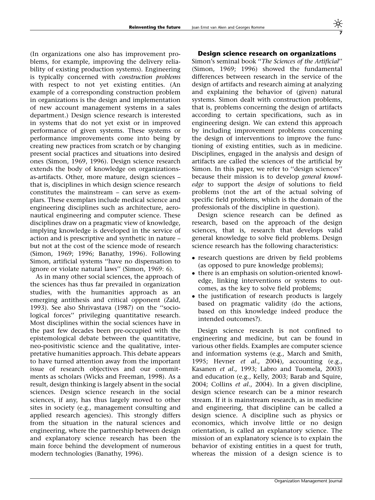(In organizations one also has improvement problems, for example, improving the delivery reliability of existing production systems). Engineering is typically concerned with construction problems with respect to not yet existing entities. (An example of a corresponding construction problem in organizations is the design and implementation of new account management systems in a sales department.) Design science research is interested in systems that do not yet exist or in improved performance of given systems. These systems or performance improvements come into being by creating new practices from scratch or by changing present social practices and situations into desired ones (Simon, 1969, 1996). Design science research extends the body of knowledge on organizationsas-artifacts. Other, more mature, design sciences – that is, disciplines in which design science research constitutes the mainstream – can serve as exemplars. These exemplars include medical science and engineering disciplines such as architecture, aeronautical engineering and computer science. These disciplines draw on a pragmatic view of knowledge, implying knowledge is developed in the service of action and is prescriptive and synthetic in nature – but not at the cost of the science mode of research (Simon, 1969; 1996; Banathy, 1996). Following Simon, artificial systems ''have no dispensation to ignore or violate natural laws'' (Simon, 1969: 6).

As in many other social sciences, the approach of the sciences has thus far prevailed in organization studies, with the humanities approach as an emerging antithesis and critical opponent (Zald, 1993). See also Shrivastava (1987) on the ''sociological forces'' privileging quantitative research. Most disciplines within the social sciences have in the past few decades been pre-occupied with the epistemological debate between the quantitative, neo-positivistic science and the qualitative, interpretative humanities approach. This debate appears to have turned attention away from the important issue of research objectives and our commitments as scholars (Wicks and Freeman, 1998). As a result, design thinking is largely absent in the social sciences. Design science research in the social sciences, if any, has thus largely moved to other sites in society (e.g., management consulting and applied research agencies). This strongly differs from the situation in the natural sciences and engineering, where the partnership between design and explanatory science research has been the main force behind the development of numerous modern technologies (Banathy, 1996).

#### Design science research on organizations

Simon's seminal book ''The Sciences of the Artificial'' (Simon, 1969; 1996) showed the fundamental differences between research in the service of the design of artifacts and research aiming at analyzing and explaining the behavior of (given) natural systems. Simon dealt with construction problems, that is, problems concerning the design of artifacts according to certain specifications, such as in engineering design. We can extend this approach by including improvement problems concerning the design of interventions to improve the functioning of existing entities, such as in medicine. Disciplines, engaged in the analysis and design of artifacts are called the sciences of the artificial by Simon. In this paper, we refer to ''design sciences'' because their mission is to develop general knowledge to support the design of solutions to field problems (not the art of the actual solving of specific field problems, which is the domain of the professionals of the discipline in question).

Design science research can be defined as research, based on the approach of the design sciences, that is, research that develops valid general knowledge to solve field problems. Design science research has the following characteristics:

- research questions are driven by field problems (as opposed to pure knowledge problems);
- there is an emphasis on solution-oriented knowledge, linking interventions or systems to outcomes, as the key to solve field problems;
- the justification of research products is largely based on pragmatic validity (do the actions, based on this knowledge indeed produce the intended outcomes?).

Design science research is not confined to engineering and medicine, but can be found in various other fields. Examples are computer science and information systems (e.g., March and Smith, 1995; Hevner et al., 2004), accounting (e.g., Kasanen et al., 1993; Labro and Tuomela, 2003) and education (e.g., Kelly, 2003; Barab and Squire, 2004; Collins et al., 2004). In a given discipline, design science research can be a minor research stream. If it is mainstream research, as in medicine and engineering, that discipline can be called a design science. A discipline such as physics or economics, which involve little or no design orientation, is called an explanatory science. The mission of an explanatory science is to explain the behavior of existing entities in a quest for truth, whereas the mission of a design science is to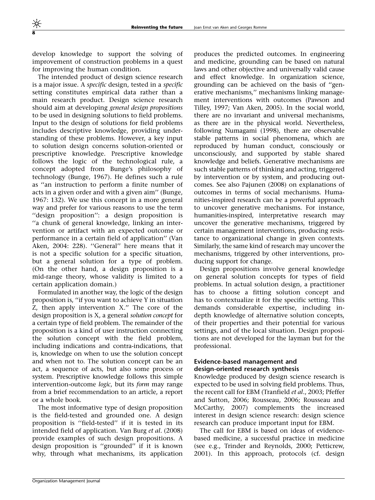develop knowledge to support the solving of improvement of construction problems in a quest for improving the human condition.

The intended product of design science research is a major issue. A specific design, tested in a specific setting constitutes empirical data rather than a main research product. Design science research should aim at developing general design propositions to be used in designing solutions to field problems. Input to the design of solutions for field problems includes descriptive knowledge, providing understanding of these problems. However, a key input to solution design concerns solution-oriented or prescriptive knowledge. Prescriptive knowledge follows the logic of the technological rule, a concept adopted from Bunge's philosophy of technology (Bunge, 1967). He defines such a rule as ''an instruction to perform a finite number of acts in a given order and with a given aim'' (Bunge, 1967: 132). We use this concept in a more general way and prefer for various reasons to use the term ''design proposition'': a design proposition is ''a chunk of general knowledge, linking an intervention or artifact with an expected outcome or performance in a certain field of application'' (Van Aken, 2004: 228). ''General'' here means that it is not a specific solution for a specific situation, but a general solution for a type of problem. (On the other hand, a design proposition is a mid-range theory, whose validity is limited to a certain application domain.)

Formulated in another way, the logic of the design proposition is, ''if you want to achieve Y in situation Z, then apply intervention X.'' The core of the design proposition is X, a general solution concept for a certain type of field problem. The remainder of the proposition is a kind of user instruction connecting the solution concept with the field problem, including indications and contra-indications, that is, knowledge on when to use the solution concept and when not to. The solution concept can be an act, a sequence of acts, but also some process or system. Prescriptive knowledge follows this simple intervention-outcome logic, but its form may range from a brief recommendation to an article, a report or a whole book.

The most informative type of design proposition is the field-tested and grounded one. A design proposition is ''field-tested'' if it is tested in its intended field of application. Van Burg et al. (2008) provide examples of such design propositions. A design proposition is ''grounded'' if it is known why, through what mechanisms, its application produces the predicted outcomes. In engineering and medicine, grounding can be based on natural laws and other objective and universally valid cause and effect knowledge. In organization science, grounding can be achieved on the basis of ''generative mechanisms,'' mechanisms linking management interventions with outcomes (Pawson and Tilley, 1997; Van Aken, 2005). In the social world, there are no invariant and universal mechanisms, as there are in the physical world. Nevertheless, following Numagami (1998), there are observable stable patterns in social phenomena, which are reproduced by human conduct, consciously or unconsciously, and supported by stable shared knowledge and beliefs. Generative mechanisms are such stable patterns of thinking and acting, triggered by intervention or by system, and producing outcomes. See also Pajunen (2008) on explanations of outcomes in terms of social mechanisms. Humanities-inspired research can be a powerful approach to uncover generative mechanisms. For instance, humanities-inspired, interpretative research may uncover the generative mechanisms, triggered by certain management interventions, producing resistance to organizational change in given contexts. Similarly, the same kind of research may uncover the mechanisms, triggered by other interventions, producing support for change.

Design propositions involve general knowledge on general solution concepts for types of field problems. In actual solution design, a practitioner has to choose a fitting solution concept and has to contextualize it for the specific setting. This demands considerable expertise, including indepth knowledge of alternative solution concepts, of their properties and their potential for various settings, and of the local situation. Design propositions are not developed for the layman but for the professional.

#### Evidence-based management and design-oriented research synthesis

Knowledge produced by design science research is expected to be used in solving field problems. Thus, the recent call for EBM (Tranfield et al., 2003; Pfeffer and Sutton, 2006; Rousseau, 2006; Rousseau and McCarthy, 2007) complements the increased interest in design science research: design science research can produce important input for EBM.

The call for EBM is based on ideas of evidencebased medicine, a successful practice in medicine (see e.g., Trinder and Reynolds, 2000; Petticrew, 2001). In this approach, protocols (cf. design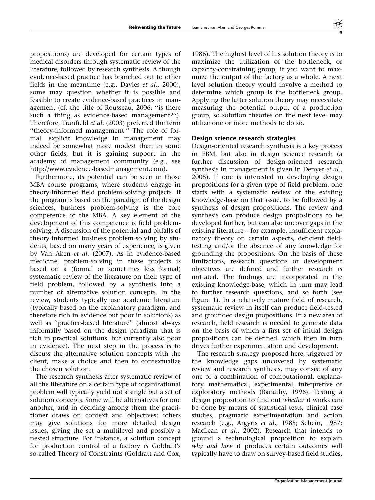propositions) are developed for certain types of medical disorders through systematic review of the literature, followed by research synthesis. Although evidence-based practice has branched out to other fields in the meantime (e.g., Davies et al., 2000), some may question whether it is possible and feasible to create evidence-based practices in management (cf. the title of Rousseau, 2006: ''is there such a thing as evidence-based management?''). Therefore, Tranfield et al. (2003) preferred the term "theory-informed management." The role of formal, explicit knowledge in management may indeed be somewhat more modest than in some other fields, but it is gaining support in the academy of management community (e.g., see http://www.evidence-basedmanagement.com).

Furthermore, its potential can be seen in those MBA course programs, where students engage in theory-informed field problem-solving projects. If the program is based on the paradigm of the design sciences, business problem-solving is the core competence of the MBA. A key element of the development of this competence is field problemsolving. A discussion of the potential and pitfalls of theory-informed business problem-solving by students, based on many years of experience, is given by Van Aken et al. (2007). As in evidence-based medicine, problem-solving in these projects is based on a (formal or sometimes less formal) systematic review of the literature on their type of field problem, followed by a synthesis into a number of alternative solution concepts. In the review, students typically use academic literature (typically based on the explanatory paradigm, and therefore rich in evidence but poor in solutions) as well as ''practice-based literature'' (almost always informally based on the design paradigm that is rich in practical solutions, but currently also poor in evidence). The next step in the process is to discuss the alternative solution concepts with the client, make a choice and then to contextualize the chosen solution.

The research synthesis after systematic review of all the literature on a certain type of organizational problem will typically yield not a single but a set of solution concepts. Some will be alternatives for one another, and in deciding among them the practitioner draws on context and objectives; others may give solutions for more detailed design issues, giving the set a multilevel and possibly a nested structure. For instance, a solution concept for production control of a factory is Goldratt's so-called Theory of Constraints (Goldratt and Cox,

1986). The highest level of his solution theory is to maximize the utilization of the bottleneck, or capacity-constraining group, if you want to maximize the output of the factory as a whole. A next level solution theory would involve a method to determine which group is the bottleneck group. Applying the latter solution theory may necessitate measuring the potential output of a production group, so solution theories on the next level may utilize one or more methods to do so.

#### Design science research strategies

Design-oriented research synthesis is a key process in EBM, but also in design science research (a further discussion of design-oriented research synthesis in management is given in Denyer et al., 2008). If one is interested in developing design propositions for a given type of field problem, one starts with a systematic review of the existing knowledge-base on that issue, to be followed by a synthesis of design propositions. The review and synthesis can produce design propositions to be developed further, but can also uncover gaps in the existing literature – for example, insufficient explanatory theory on certain aspects, deficient fieldtesting and/or the absence of any knowledge for grounding the propositions. On the basis of these limitations, research questions or development objectives are defined and further research is initiated. The findings are incorporated in the existing knowledge-base, which in turn may lead to further research questions, and so forth (see Figure 1). In a relatively mature field of research, systematic review in itself can produce field-tested and grounded design propositions. In a new area of research, field research is needed to generate data on the basis of which a first set of initial design propositions can be defined, which then in turn drives further experimentation and development.

The research strategy proposed here, triggered by the knowledge gaps uncovered by systematic review and research synthesis, may consist of any one or a combination of computational, explanatory, mathematical, experimental, interpretive or exploratory methods (Banathy, 1996). Testing a design proposition to find out whether it works can be done by means of statistical tests, clinical case studies, pragmatic experimentation and action research (e.g., Argyris et al., 1985; Schein, 1987; MacLean et al., 2002). Research that intends to ground a technological proposition to explain why and how it produces certain outcomes will typically have to draw on survey-based field studies,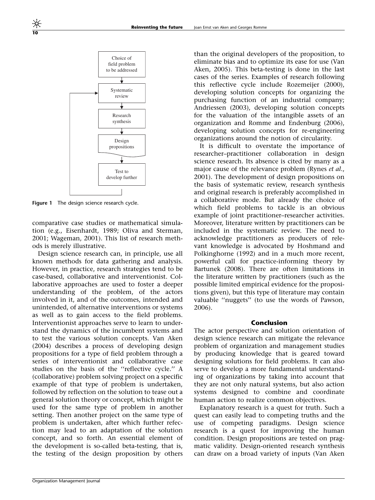

Figure 1 The design science research cycle.

comparative case studies or mathematical simulation (e.g., Eisenhardt, 1989; Oliva and Sterman, 2001; Wageman, 2001). This list of research methods is merely illustrative.

Design science research can, in principle, use all known methods for data gathering and analysis. However, in practice, research strategies tend to be case-based, collaborative and interventionist. Collaborative approaches are used to foster a deeper understanding of the problem, of the actors involved in it, and of the outcomes, intended and unintended, of alternative interventions or systems as well as to gain access to the field problems. Interventionist approaches serve to learn to understand the dynamics of the incumbent systems and to test the various solution concepts. Van Aken (2004) describes a process of developing design propositions for a type of field problem through a series of interventionist and collaborative case studies on the basis of the ''reflective cycle.'' A (collaborative) problem solving project on a specific example of that type of problem is undertaken, followed by reflection on the solution to tease out a general solution theory or concept, which might be used for the same type of problem in another setting. Then another project on the same type of problem is undertaken, after which further refection may lead to an adaptation of the solution concept, and so forth. An essential element of the development is so-called beta-testing, that is, the testing of the design proposition by others than the original developers of the proposition, to eliminate bias and to optimize its ease for use (Van Aken, 2005). This beta-testing is done in the last cases of the series. Examples of research following this reflective cycle include Rozemeijer (2000), developing solution concepts for organizing the purchasing function of an industrial company; Andriessen (2003), developing solution concepts for the valuation of the intangible assets of an organization and Romme and Endenburg (2006), developing solution concepts for re-engineering organizations around the notion of circularity.

It is difficult to overstate the importance of researcher–practitioner collaboration in design science research. Its absence is cited by many as a major cause of the relevance problem (Rynes et al., 2001). The development of design propositions on the basis of systematic review, research synthesis and original research is preferably accomplished in a collaborative mode. But already the choice of which field problems to tackle is an obvious example of joint practitioner–researcher activities. Moreover, literature written by practitioners can be included in the systematic review. The need to acknowledge practitioners as producers of relevant knowledge is advocated by Hoshmand and Polkinghorne (1992) and in a much more recent, powerful call for practice-informing theory by Bartunek (2008). There are often limitations in the literature written by practitioners (such as the possible limited empirical evidence for the propositions given), but this type of literature may contain valuable ''nuggets'' (to use the words of Pawson, 2006).

#### Conclusion

The actor perspective and solution orientation of design science research can mitigate the relevance problem of organization and management studies by producing knowledge that is geared toward designing solutions for field problems. It can also serve to develop a more fundamental understanding of organizations by taking into account that they are not only natural systems, but also action systems designed to combine and coordinate human action to realize common objectives.

Explanatory research is a quest for truth. Such a quest can easily lead to competing truths and the use of competing paradigms. Design science research is a quest for improving the human condition. Design propositions are tested on pragmatic validity. Design-oriented research synthesis can draw on a broad variety of inputs (Van Aken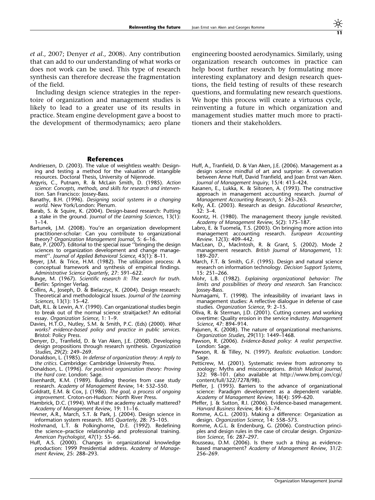et al., 2007; Denyer et al., 2008). Any contribution that can add to our understanding of what works or does not work can be used. This type of research synthesis can therefore decrease the fragmentation of the field.

Including design science strategies in the repertoire of organization and management studies is likely to lead to a greater use of its results in practice. Steam engine development gave a boost to the development of thermodynamics; aero plane

#### References

- Andriessen, D. (2003). The value of weightless wealth: Designing and testing a method for the valuation of intangible resources. Doctoral Thesis, University of Nijenrode.
- Argyris, C., Putnam, R. & McLain Smith, D. (1985). Action science: Concepts, methods, and skills for research and intervention. San Francisco: Jossey-Bass.
- Banathy, B.H. (1996). Designing social systems in a changing world. New York/London: Plenum.
- Barab, S. & Squire, K. (2004). Design-based research: Putting a stake in the ground. Journal of the Learning Sciences, 13(1):  $1 - 14$ .
- Bartunek, J.M. (2008). You're an organization development practitioner-scholar: Can you contribute to organizational theory? Organization Management Journal, 5: 6–16.
- Bate, P. (2007). Editorial to the special issue ''bringing the design sciences to organization development and change management''. Journal of Applied Behavioral Science, 43(1): 8–11.
- Beyer, J.M. & Trice, H.M. (1982). The utilization process: A conceptual framework and synthesis of empirical findings. Administrative Science Quarterly, 27: 591–622.
- Bunge, M. (1967). Scientific research II: The search for truth. Berlin: Springer Verlag.
- Collins, A., Joseph, D. & Bielaczyc, K. (2004). Design research: Theoretical and methodological Issues. Journal of the Learning Sciences, 13(1): 15–42.
- Daft, R.L. & Lewin, A.Y. (1990). Can organizational studies begin to break out of the normal science straitjacket? An editorial essay. Organization Science, 1: 1–9.
- Davies, H.T.O., Nutley, S.M. & Smith, P.C. (Eds) (2000). What works? evidence-based policy and practice in public services. Bristol: Policy Press.
- Denyer, D., Tranfield, D. & Van Aken, J.E. (2008). Developing design propositions through research synthesis. Organization Studies, 29(2): 249–269.
- Donaldson, L. (1985). In defense of organization theory: A reply to the critics. Cambridge: Cambridge University Press.
- Donaldson, L. (1996). For positivist organization theory: Proving the hard core. London: Sage.
- Eisenhardt, K.M. (1989). Building theories from case study research. Academy of Management Review, 14: 532–550.
- Goldratt, E.M. & Cox, J. (1986). The goal, a process of ongoing improvement. Croton-on-Hudson: North River Press.
- Hambrick, D.C. (1994). What if the academy actually mattered? Academy of Management Review, 19: 11–16.
- Hevner, A.R., March, S.T. & Park, J. (2004). Design science in information system research. MIS Quarterly, 28: 75–105.
- Hoshmand, L.T. & Polkinghorne, D.E. (1992). Redefining the science–practice relationship and professional training. American Psychologist, 47(1): 55–66.
- Huff, A.S. (2000). Changes in organizational knowledge production: 1999 Presidential address. Academy of Management Review, 25: 288–293.

engineering boosted aerodynamics. Similarly, using organization research outcomes in practice can help boost further research by formulating more interesting explanatory and design research questions, the field testing of results of these research questions, and formulating new research questions. We hope this process will create a virtuous cycle, reinventing a future in which organization and management studies matter much more to practitioners and their stakeholders.

- Huff, A., Tranfield, D. & Van Aken, J.E. (2006). Management as a design science mindful of art and surprise: A conversation between Anne Huff, David Tranfield, and Joan Ernst van Aken. Journal of Management Inquiry, 15/4: 413–424.
- Kasanen, E., Lukka, K. & Siitonen, A. (1993). The constructive approach in management accounting research. Journal of Management Accounting Research, 5: 243–263.
- Kelly, A.E. (2003). Research as design. Educational Researcher, 32: 3–4.
- Koontz, H. (1980). The management theory jungle revisited. Academy of Management Review, 5(2): 175–187.
- Labro, E. & Tuomela, T.S. (2003). On bringing more action into management accounting research. European Accounting Review. 12(3): 409–442.
- MacLean, D., MacIntosh, R. & Grant, S. (2002). Mode 2 management research. British Journal of Management, 13: 189–207.
- March, F.T. & Smith, G.F. (1995). Design and natural science research on information technology. Decision Support Systems, 15: 251–266.
- Mohr, L.B. (1982). Explaining organizational behavior: The limits and possibilities of theory and research. San Francisco: Jossey-Bass.
- Numagami, T. (1998). The infeasibility of invariant laws in management studies: A reflective dialogue in defense of case studies. Organization Science, 9: 2–15.
- Oliva, R. & Sterman, J.D. (2001). Cutting corners and working overtime: Quality erosion in the service industry. Management Science, 47: 894–914.
- Pajunen, K. (2008). The nature of organizational mechanisms. Organization Studies, 29(11): 1449–1468.
- Pawson, R. (2006). Evidence-Based policy: A realist perspective. London: Sage.
- Pawson, R. & Tilley, N. (1997). Realistic evaluation. London: Sage.
- Petticrew, M. (2001). Systematic review from astronomy to zoology: Myths and misconceptions. British Medical Journal, 322: 98–101. (also available at http://www.bmj.com/cgi/ content/full/322/7278/98).
- Pfeffer, J. (1993). Barriers to the advance of organizational science: Paradigm development as a dependent variable. Academy of Management Review, 18(4): 599–620.
- Pfeffer, J. & Sutton, R.I. (2006). Evidence-based management. Harvard Business Review, 84: 63–74.
- Romme, A.G.L. (2003). Making a difference: Organization as design. Organization Science, 14: 558–573.
- Romme, A.G.L. & Endenburg, G. (2006). Construction principles and design rules in the case of circular design. Organization Science, 16: 287–297.
- Rousseau, D.M. (2006). Is there such a thing as evidencebased management? Academy of Management Review, 31/2: 256–269.